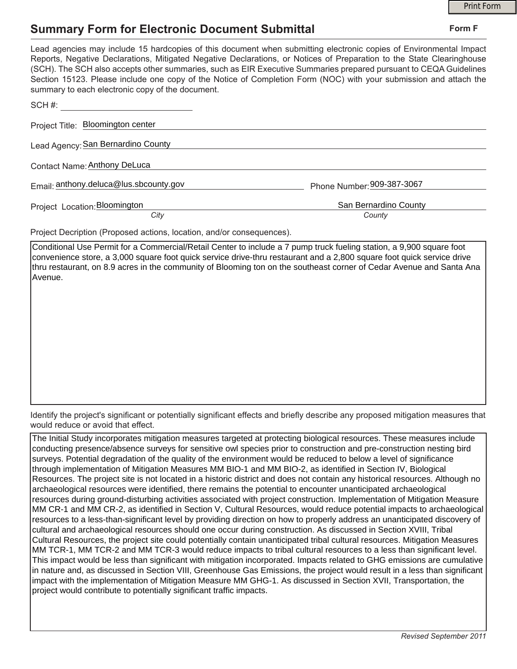## **Summary Form for Electronic Document Submittal**

|                                                       | <b>Print Form</b>                                                                                                                                                                                                                                                                                                                                                                                                                                                                     |
|-------------------------------------------------------|---------------------------------------------------------------------------------------------------------------------------------------------------------------------------------------------------------------------------------------------------------------------------------------------------------------------------------------------------------------------------------------------------------------------------------------------------------------------------------------|
| <b>Summary Form for Electronic Document Submittal</b> | Form F                                                                                                                                                                                                                                                                                                                                                                                                                                                                                |
| summary to each electronic copy of the document.      | Lead agencies may include 15 hardcopies of this document when submitting electronic copies of Environmental Impact<br>Reports, Negative Declarations, Mitigated Negative Declarations, or Notices of Preparation to the State Clearinghouse<br>(SCH). The SCH also accepts other summaries, such as EIR Executive Summaries prepared pursuant to CEQA Guidelines<br>Section 15123. Please include one copy of the Notice of Completion Form (NOC) with your submission and attach the |
| SCH#:                                                 |                                                                                                                                                                                                                                                                                                                                                                                                                                                                                       |
| Project Title: Bloomington center                     |                                                                                                                                                                                                                                                                                                                                                                                                                                                                                       |
| Lead Agency: San Bernardino County                    |                                                                                                                                                                                                                                                                                                                                                                                                                                                                                       |
| Contact Name: Anthony DeLuca                          |                                                                                                                                                                                                                                                                                                                                                                                                                                                                                       |
| Email: anthony.deluca@lus.sbcounty.gov                | Phone Number: 909-387-3067                                                                                                                                                                                                                                                                                                                                                                                                                                                            |
| Project Location: Bloomington                         | San Bernardino County                                                                                                                                                                                                                                                                                                                                                                                                                                                                 |
| City                                                  | County                                                                                                                                                                                                                                                                                                                                                                                                                                                                                |

Project Decription (Proposed actions, location, and/or consequences).

Conditional Use Permit for a Commercial/Retail Center to include a 7 pump truck fueling station, a 9,900 square foot convenience store, a 3,000 square foot quick service drive-thru restaurant and a 2,800 square foot quick service drive thru restaurant, on 8.9 acres in the community of Blooming ton on the southeast corner of Cedar Avenue and Santa Ana Avenue.

Identify the project's significant or potentially significant effects and briefly describe any proposed mitigation measures that would reduce or avoid that effect.

The Initial Study incorporates mitigation measures targeted at protecting biological resources. These measures include conducting presence/absence surveys for sensitive owl species prior to construction and pre-construction nesting bird surveys. Potential degradation of the quality of the environment would be reduced to below a level of significance through implementation of Mitigation Measures MM BIO-1 and MM BIO-2, as identified in Section IV, Biological Resources. The project site is not located in a historic district and does not contain any historical resources. Although no archaeological resources were identified, there remains the potential to encounter unanticipated archaeological resources during ground-disturbing activities associated with project construction. Implementation of Mitigation Measure MM CR-1 and MM CR-2, as identified in Section V, Cultural Resources, would reduce potential impacts to archaeological resources to a less-than-significant level by providing direction on how to properly address an unanticipated discovery of cultural and archaeological resources should one occur during construction. As discussed in Section XVIII, Tribal Cultural Resources, the project site could potentially contain unanticipated tribal cultural resources. Mitigation Measures MM TCR-1, MM TCR-2 and MM TCR-3 would reduce impacts to tribal cultural resources to a less than significant level. This impact would be less than significant with mitigation incorporated. Impacts related to GHG emissions are cumulative in nature and, as discussed in Section VIII, Greenhouse Gas Emissions, the project would result in a less than significant impact with the implementation of Mitigation Measure MM GHG-1. As discussed in Section XVII, Transportation, the project would contribute to potentially significant traffic impacts.